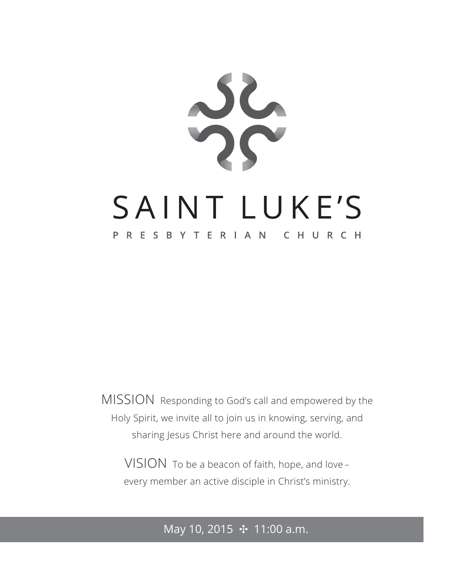

MISSION Responding to God's call and empowered by the Holy Spirit, we invite all to join us in knowing, serving, and sharing Jesus Christ here and around the world.

VISION To be a beacon of faith, hope, and love – every member an active disciple in Christ's ministry.

## May 10, 2015 **⊹** 11:00 a.m.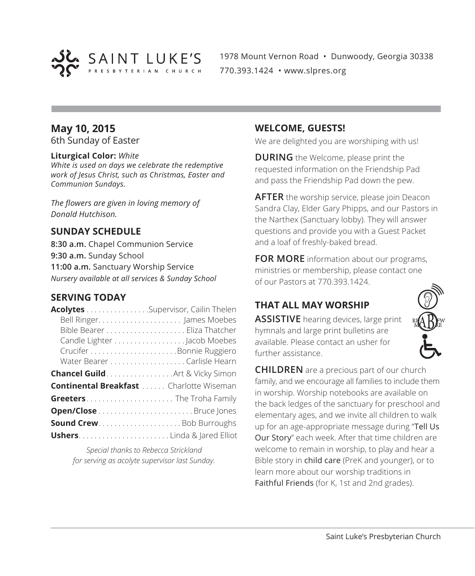

1978 Mount Vernon Road • Dunwoody, Georgia 30338 770.393.1424 • www.slpres.org

## **May 10, 2015**

6th Sunday of Easter

#### **Liturgical Color:** *White*

*White is used on days we celebrate the redemptive work of Jesus Christ, such as Christmas, Easter and Communion Sundays.*

*The flowers are given in loving memory of Donald Hutchison.*

## **SUNDAY SCHEDULE**

**8:30 a.m.** Chapel Communion Service **9:30 a.m.** Sunday School **11:00 a.m.** Sanctuary Worship Service *Nursery available at all services & Sunday School*

### **SERVING TODAY**

| Acolytes Supervisor, Cailin Thelen              |                             |
|-------------------------------------------------|-----------------------------|
|                                                 |                             |
|                                                 |                             |
|                                                 | Candle Lighter Jacob Moebes |
|                                                 |                             |
|                                                 |                             |
| <b>Chancel Guild</b> Art & Vicky Simon          |                             |
| <b>Continental Breakfast </b> Charlotte Wiseman |                             |
| Greeters The Troha Family                       |                             |
|                                                 |                             |
| <b>Sound CrewBob Burroughs</b>                  |                             |
|                                                 |                             |

*Special thanks to Rebecca Strickland for serving as acolyte supervisor last Sunday.*

#### **WELCOME, GUESTS!**

We are delighted you are worshiping with us!

**DURING** the Welcome, please print the requested information on the Friendship Pad and pass the Friendship Pad down the pew.

**AFTER** the worship service, please join Deacon Sandra Clay, Elder Gary Phipps, and our Pastors in the Narthex (Sanctuary lobby). They will answer questions and provide you with a Guest Packet and a loaf of freshly-baked bread.

**FOR MORE** information about our programs, ministries or membership, please contact one of our Pastors at 770.393.1424.

## **THAT ALL MAY WORSHIP**

**ASSISTIVE** hearing devices, large print hymnals and large print bulletins are available. Please contact an usher for further assistance.



**CHILDREN** are a precious part of our church family, and we encourage all families to include them in worship. Worship notebooks are available on the back ledges of the sanctuary for preschool and elementary ages, and we invite all children to walk up for an age-appropriate message during "Tell Us Our Story" each week. After that time children are welcome to remain in worship, to play and hear a Bible story in child care (PreK and younger), or to learn more about our worship traditions in Faithful Friends (for K, 1st and 2nd grades).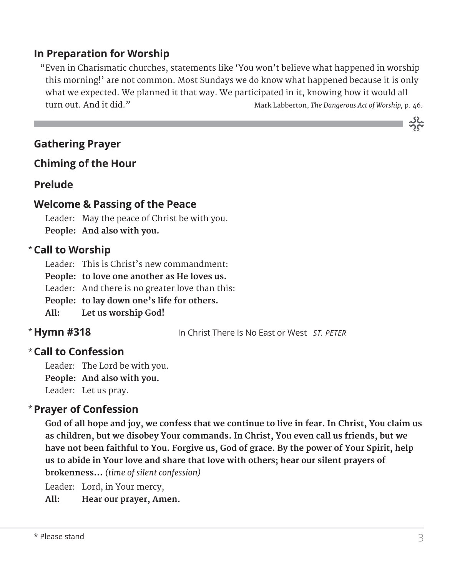## **In Preparation for Worship**

 "Even in Charismatic churches, statements like 'You won't believe what happened in worship this morning!' are not common. Most Sundays we do know what happened because it is only what we expected. We planned it that way. We participated in it, knowing how it would all turn out. And it did." Mark Labberton, *The Dangerous Act of Worship,* p. 46.

## **Gathering Prayer**

## **Chiming of the Hour**

### **Prelude**

## **Welcome & Passing of the Peace**

Leader: May the peace of Christ be with you. **People: And also with you.**

## **Call to Worship** \*

Leader: This is Christ's new commandment:

**People: to love one another as He loves us.**

Leader: And there is no greater love than this:

**People: to lay down one's life for others.**

**All: Let us worship God!**

## \* Hymn #318

**Hymn #318** In Christ There Is No East or West *ST. PETER*

## **Call to Confession**  \*

Leader: The Lord be with you. **People: And also with you.** Leader: Let us pray.

## **Prayer of Confession**  \*

 **God of all hope and joy, we confess that we continue to live in fear. In Christ, You claim us as children, but we disobey Your commands. In Christ, You even call us friends, but we have not been faithful to You. Forgive us, God of grace. By the power of Your Spirit, help us to abide in Your love and share that love with others; hear our silent prayers of brokenness…** *(time of silent confession)*

Leader: Lord, in Your mercy,

**All: Hear our prayer, Amen.**

သိုင်္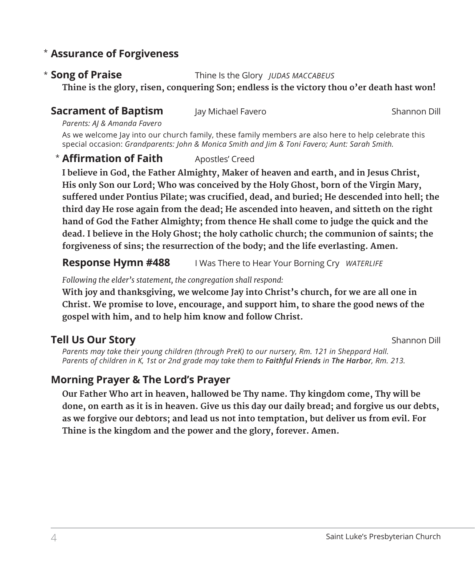## **Assurance of Forgiveness** \*

#### \* Song of Praise

**Song of Praise** Thine Is the Glory *JUDAS MACCABEUS*

 **Thine is the glory, risen, conquering Son; endless is the victory thou o'er death hast won!**

## **Sacrament of Baptism** Jay Michael Favero **Shannon Dill** Shannon Dill

*Parents: AJ & Amanda Favero*

As we welcome Jay into our church family, these family members are also here to help celebrate this special occasion: *Grandparents: John & Monica Smith and Jim & Toni Favero; Aunt: Sarah Smith.*

## **\* Affirmation of Faith** Apostles' Creed

 **I believe in God, the Father Almighty, Maker of heaven and earth, and in Jesus Christ, His only Son our Lord; Who was conceived by the Holy Ghost, born of the Virgin Mary, suffered under Pontius Pilate; was crucified, dead, and buried; He descended into hell; the third day He rose again from the dead; He ascended into heaven, and sitteth on the right hand of God the Father Almighty; from thence He shall come to judge the quick and the dead. I believe in the Holy Ghost; the holy catholic church; the communion of saints; the forgiveness of sins; the resurrection of the body; and the life everlasting. Amen.**

**Response Hymn #488** I Was There to Hear Your Borning Cry *WATERLIFE* 

*Following the elder's statement, the congregation shall respond:*

 **With joy and thanksgiving, we welcome Jay into Christ's church, for we are all one in Christ. We promise to love, encourage, and support him, to share the good news of the gospel with him, and to help him know and follow Christ.**

## **Tell Us Our Story** Shannon Dill

*Parents may take their young children (through PreK) to our nursery, Rm. 121 in Sheppard Hall. Parents of children in K, 1st or 2nd grade may take them to Faithful Friends in The Harbor, Rm. 213.*

## **Morning Prayer & The Lord's Prayer**

 **Our Father Who art in heaven, hallowed be Thy name. Thy kingdom come, Thy will be done, on earth as it is in heaven. Give us this day our daily bread; and forgive us our debts, as we forgive our debtors; and lead us not into temptation, but deliver us from evil. For Thine is the kingdom and the power and the glory, forever. Amen.**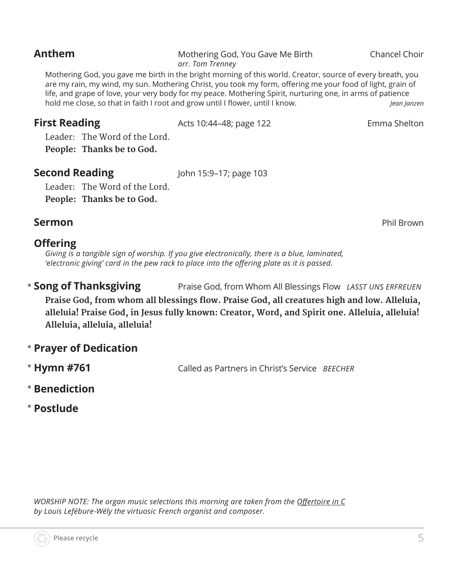#### **Anthem** Mothering God, You Gave Me Birth Chancel Choir *arr. Tom Trenney*

 Mothering God, you gave me birth in the bright morning of this world. Creator, source of every breath, you are my rain, my wind, my sun. Mothering Christ, you took my form, offering me your food of light, grain of life, and grape of love, your very body for my peace. Mothering Spirit, nurturing one, in arms of patience hold me close, so that in faith I root and grow until I flower, until I know. *Jean Janzen*

**First Reading** The Acts 10:44–48; page 122 The age of the Shelton

Leader: The Word of the Lord. **People: Thanks be to God.** 

**Second Reading** John 15:9-17; page 103

Leader: The Word of the Lord. **People: Thanks be to God.**

## **Sermon** Phil Brown

### **Offering**

*Giving is a tangible sign of worship. If you give electronically, there is a blue, laminated, 'electronic giving' card in the pew rack to place into the offering plate as it is passed.* 

\* Song of Thanksgiving **Song of Thanksgiving** Praise God, from Whom All Blessings Flow *LASST UNS ERFREUEN* 

**Praise God, from whom all blessings flow. Praise God, all creatures high and low. Alleluia, alleluia! Praise God, in Jesus fully known: Creator, Word, and Spirit one. Alleluia, alleluia! Alleluia, alleluia, alleluia!**

- \* **Prayer of Dedication**
- \* Hymn #761 **Hymn #761** Called as Partners in Christ's Service *BEECHER*
- \* **Benediction**
- \* **Postlude**

*WORSHIP NOTE: The organ music selections this morning are taken from the Offertoire in C by Louis Lefébure-Wély the virtuosic French organist and composer.*



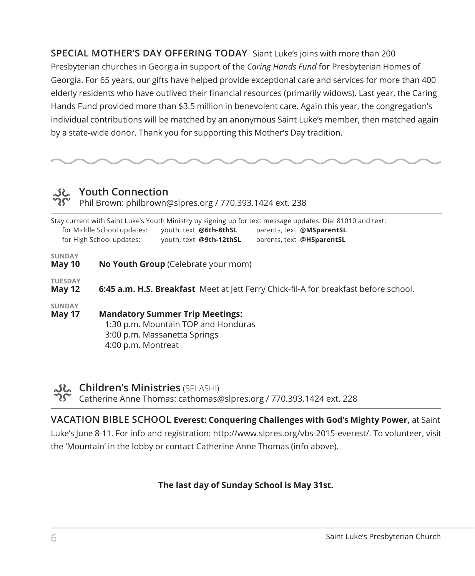**SPECIAL MOTHER'S DAY OFFERING TODAY** Siant Luke's joins with more than 200 Presbyterian churches in Georgia in support of the *Caring Hands Fund* for Presbyterian Homes of Georgia. For 65 years, our gifts have helped provide exceptional care and services for more than 400 elderly residents who have outlived their financial resources (primarily widows). Last year, the Caring Hands Fund provided more than \$3.5 million in benevolent care. Again this year, the congregation's individual contributions will be matched by an anonymous Saint Luke's member, then matched again by a state-wide donor. Thank you for supporting this Mother's Day tradition.

# *<u>بالہ</u>*<br>م

Phil Brown: philbrown@slpres.org / 770.393.1424 ext. 238

|                                 | for Middle School updates:<br>for High School updates:                                      | youth, text @6th-8thSL<br>youth, text @9th-12thSL                                                             | Stay current with Saint Luke's Youth Ministry by signing up for text message updates. Dial 81010 and text:<br>parents, text @MSparentSL<br>parents, text @HSparentSL |  |  |
|---------------------------------|---------------------------------------------------------------------------------------------|---------------------------------------------------------------------------------------------------------------|----------------------------------------------------------------------------------------------------------------------------------------------------------------------|--|--|
| <b>SUNDAY</b><br>May 10         |                                                                                             | <b>No Youth Group</b> (Celebrate your mom)                                                                    |                                                                                                                                                                      |  |  |
| <b>TUESDAY</b><br><b>May 12</b> | <b>6:45 a.m. H.S. Breakfast</b> Meet at lett Ferry Chick-fil-A for breakfast before school. |                                                                                                               |                                                                                                                                                                      |  |  |
| <b>SUNDAY</b><br>May 17         | 4:00 p.m. Montreat                                                                          | <b>Mandatory Summer Trip Meetings:</b><br>1:30 p.m. Mountain TOP and Honduras<br>3:00 p.m. Massanetta Springs |                                                                                                                                                                      |  |  |

#### **Children's Ministries** (SPLASH!)

Catherine Anne Thomas: cathomas@slpres.org / 770.393.1424 ext. 228

**VACATION BIBLE SCHOOL Everest: Conquering Challenges with God's Mighty Power,** at Saint Luke's June 8-11. For info and registration: http://www.slpres.org/vbs-2015-everest/. To volunteer, visit the 'Mountain' in the lobby or contact Catherine Anne Thomas (info above).

#### **The last day of Sunday School is May 31st.**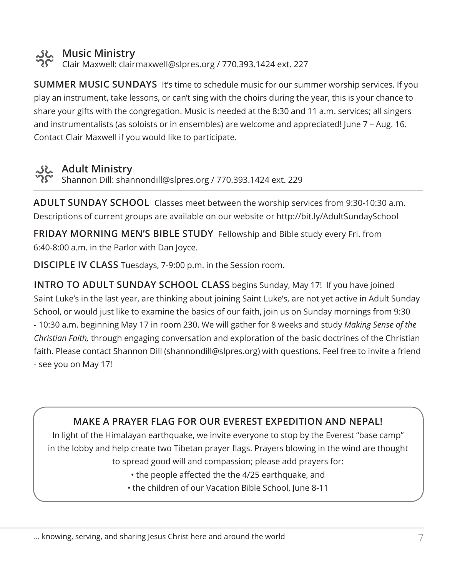

### **Music Ministry**

Clair Maxwell: clairmaxwell@slpres.org / 770.393.1424 ext. 227

**SUMMER MUSIC SUNDAYS** It's time to schedule music for our summer worship services. If you play an instrument, take lessons, or can't sing with the choirs during the year, this is your chance to share your gifts with the congregation. Music is needed at the 8:30 and 11 a.m. services; all singers and instrumentalists (as soloists or in ensembles) are welcome and appreciated! June 7 – Aug. 16. Contact Clair Maxwell if you would like to participate.

## **Adult Ministry**

Shannon Dill: shannondill@slpres.org / 770.393.1424 ext. 229

**ADULT SUNDAY SCHOOL** Classes meet between the worship services from 9:30-10:30 a.m. Descriptions of current groups are available on our website or http://bit.ly/AdultSundaySchool

**FRIDAY MORNING MEN'S BIBLE STUDY** Fellowship and Bible study every Fri. from 6:40-8:00 a.m. in the Parlor with Dan Joyce.

**DISCIPLE IV CLASS** Tuesdays, 7-9:00 p.m. in the Session room.

**INTRO TO ADULT SUNDAY SCHOOL CLASS** begins Sunday, May 17! If you have joined Saint Luke's in the last year, are thinking about joining Saint Luke's, are not yet active in Adult Sunday School, or would just like to examine the basics of our faith, join us on Sunday mornings from 9:30 - 10:30 a.m. beginning May 17 in room 230. We will gather for 8 weeks and study *Making Sense of the Christian Faith,* through engaging conversation and exploration of the basic doctrines of the Christian faith. Please contact Shannon Dill (shannondill@slpres.org) with questions. Feel free to invite a friend - see you on May 17!

## **MAKE A PRAYER FLAG FOR OUR EVEREST EXPEDITION AND NEPAL!**

In light of the Himalayan earthquake, we invite everyone to stop by the Everest "base camp" in the lobby and help create two Tibetan prayer flags. Prayers blowing in the wind are thought to spread good will and compassion; please add prayers for:

- the people affected the the 4/25 earthquake, and
- the children of our Vacation Bible School, June 8-11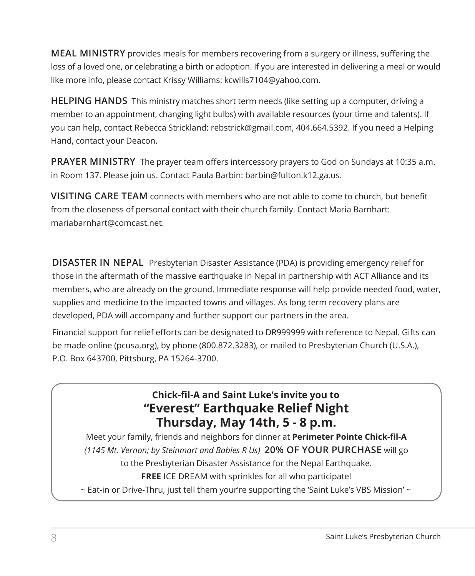**MEAL MINISTRY** provides meals for members recovering from a surgery or illness, suffering the loss of a loved one, or celebrating a birth or adoption. If you are interested in delivering a meal or would like more info, please contact Krissy Williams: kcwills7104@yahoo.com.

**HELPING HANDS** This ministry matches short term needs (like setting up a computer, driving a member to an appointment, changing light bulbs) with available resources (your time and talents). If you can help, contact Rebecca Strickland: rebstrick@gmail.com, 404.664.5392. If you need a Helping Hand, contact your Deacon.

**PRAYER MINISTRY** The prayer team offers intercessory prayers to God on Sundays at 10:35 a.m. in Room 137. Please join us. Contact Paula Barbin: barbin@fulton.k12.ga.us.

**VISITING CARE TEAM** connects with members who are not able to come to church, but benefit from the closeness of personal contact with their church family. Contact Maria Barnhart: mariabarnhart@comcast.net.

**DISASTER IN NEPAL** Presbyterian Disaster Assistance (PDA) is providing emergency relief for those in the aftermath of the massive earthquake in Nepal in partnership with ACT Alliance and its members, who are already on the ground. Immediate response will help provide needed food, water, supplies and medicine to the impacted towns and villages. As long term recovery plans are developed, PDA will accompany and further support our partners in the area.

Financial support for relief efforts can be designated to DR999999 with reference to Nepal. Gifts can be made online (pcusa.org), by phone (800.872.3283), or mailed to Presbyterian Church (U.S.A.), P.O. Box 643700, Pittsburg, PA 15264-3700.

## **Chick-fil-A and Saint Luke's invite you to "Everest" Earthquake Relief Night Thursday, May 14th, 5 - 8 p.m.**

Meet your family, friends and neighbors for dinner at **Perimeter Pointe Chick-fil-A** *(1145 Mt. Vernon; by Steinmart and Babies R Us)* **20% OF YOUR PURCHASE** will go to the Presbyterian Disaster Assistance for the Nepal Earthquake. **FREE** ICE DREAM with sprinkles for all who participate!

~ Eat-in or Drive-Thru, just tell them your're supporting the 'Saint Luke's VBS Mission' ~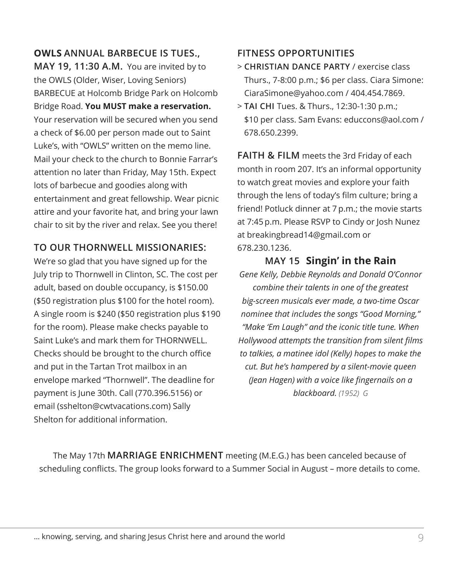## **OWLS ANNUAL BARBECUE IS TUES.,**

**MAY 19, 11:30 A.M.** You are invited by to the OWLS (Older, Wiser, Loving Seniors) BARBECUE at Holcomb Bridge Park on Holcomb Bridge Road. **You MUST make a reservation.**  Your reservation will be secured when you send a check of \$6.00 per person made out to Saint Luke's, with "OWLS" written on the memo line. Mail your check to the church to Bonnie Farrar's attention no later than Friday, May 15th. Expect lots of barbecue and goodies along with entertainment and great fellowship. Wear picnic attire and your favorite hat, and bring your lawn chair to sit by the river and relax. See you there!

## **TO OUR THORNWELL MISSIONARIES:**

We're so glad that you have signed up for the July trip to Thornwell in Clinton, SC. The cost per adult, based on double occupancy, is \$150.00 (\$50 registration plus \$100 for the hotel room). A single room is \$240 (\$50 registration plus \$190 for the room). Please make checks payable to Saint Luke's and mark them for THORNWELL. Checks should be brought to the church office and put in the Tartan Trot mailbox in an envelope marked "Thornwell". The deadline for payment is June 30th. Call (770.396.5156) or email (sshelton@cwtvacations.com) Sally Shelton for additional information.

## **FITNESS OPPORTUNITIES**

- > **CHRISTIAN DANCE PARTY** / exercise class Thurs., 7-8:00 p.m.; \$6 per class. Ciara Simone: CiaraSimone@yahoo.com / 404.454.7869.
- > **TAI CHI** Tues. & Thurs., 12:30-1:30 p.m.; \$10 per class. Sam Evans: educcons@aol.com / 678.650.2399.

**FAITH & FILM** meets the 3rd Friday of each month in room 207. It's an informal opportunity to watch great movies and explore your faith through the lens of today's film culture; bring a friend! Potluck dinner at 7 p.m.; the movie starts at 7:45 p.m. Please RSVP to Cindy or Josh Nunez at breakingbread14@gmail.com or 678.230.1236.

**MAY 15 Singin' in the Rain** *Gene Kelly, Debbie Reynolds and Donald O'Connor combine their talents in one of the greatest big-screen musicals ever made, a two-time Oscar nominee that includes the songs "Good Morning," "Make 'Em Laugh" and the iconic title tune. When Hollywood attempts the transition from silent films to talkies, a matinee idol (Kelly) hopes to make the cut. But he's hampered by a silent-movie queen (Jean Hagen) with a voice like fingernails on a blackboard. (1952) G*

The May 17th **MARRIAGE ENRICHMENT** meeting (M.E.G.) has been canceled because of scheduling conflicts. The group looks forward to a Summer Social in August – more details to come.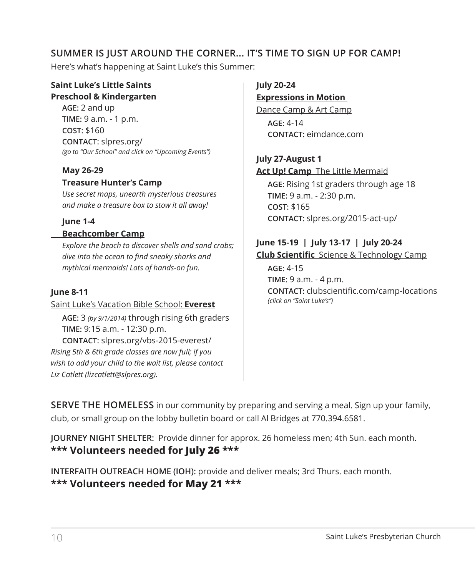## **SUMMER IS JUST AROUND THE CORNER... IT'S TIME TO SIGN UP FOR CAMP!**

Here's what's happening at Saint Luke's this Summer:

#### **Saint Luke's Little Saints Preschool & Kindergarten**

**AGE:** 2 and up **TIME:** 9 a.m. - 1 p.m. **COST:** \$160 **CONTACT:** slpres.org/ *(go to "Our School" and click on "Upcoming Events")*

#### **May 26-29**

#### **Treasure Hunter's Camp**

*Use secret maps, unearth mysterious treasures and make a treasure box to stow it all away!*

#### **June 1-4**

#### **Beachcomber Camp**

*Explore the beach to discover shells and sand crabs; dive into the ocean to find sneaky sharks and mythical mermaids! Lots of hands-on fun.*

#### **June 8-11**

Saint Luke's Vacation Bible School: **Everest AGE:** 3 *(by 9/1/2014)* through rising 6th graders **TIME:** 9:15 a.m. - 12:30 p.m.

**CONTACT:** slpres.org/vbs-2015-everest/ *Rising 5th & 6th grade classes are now full; if you wish to add your child to the wait list, please contact Liz Catlett (lizcatlett@slpres.org).*

**July 20-24 Expressions in Motion** Dance Camp & Art Camp **AGE:** 4-14

**CONTACT:** eimdance.com

## **July 27-August 1**

**Act Up! Camp** The Little Mermaid

**AGE:** Rising 1st graders through age 18 **TIME:** 9 a.m. - 2:30 p.m. **COST:** \$165 **CONTACT:** slpres.org/2015-act-up/

#### **June 15-19 | July 13-17 | July 20-24 Club Scientific** Science & Technology Camp

**AGE:** 4-15 **TIME:** 9 a.m. - 4 p.m. **CONTACT:** clubscientific.com/camp-locations *(click on "Saint Luke's")*

**SERVE THE HOMELESS** in our community by preparing and serving a meal. Sign up your family, club, or small group on the lobby bulletin board or call Al Bridges at 770.394.6581.

**JOURNEY NIGHT SHELTER:** Provide dinner for approx. 26 homeless men; 4th Sun. each month. **\*\*\* Volunteers needed for July 26 \*\*\***

**INTERFAITH OUTREACH HOME (IOH):** provide and deliver meals; 3rd Thurs. each month. **\*\*\* Volunteers needed for May 21 \*\*\***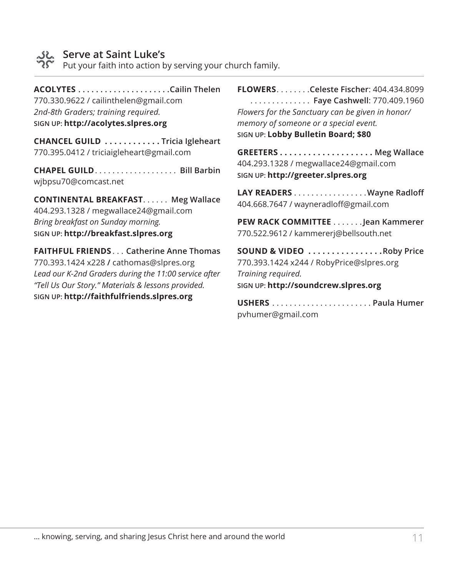

# **Serve at Saint Luke's**

Put your faith into action by serving your church family.

**ACOLYTES. Cailin Thelen**

770.330.9622 / cailinthelen@gmail.com *2nd-8th Graders; training required.* **SIGN UP: http://acolytes.slpres.org**

**CHANCEL GUILD . . . . . . . . . . . Tricia Igleheart** 770.395.0412 / triciaigleheart@gmail.com

**CHAPEL GUILD**. . **Bill Barbin** wjbpsu70@comcast.net

**CONTINENTAL BREAKFAST...... Meg Wallace** 404.293.1328 / megwallace24@gmail.com *Bring breakfast on Sunday morning.* **SIGN UP: http://breakfast.slpres.org**

**FAITHFUL FRIENDS**. . **Catherine Anne Thomas** 770.393.1424 x228 **/** cathomas@slpres.org *Lead our K-2nd Graders during the 11:00 service after "Tell Us Our Story." Materials & lessons provided.* **SIGN UP: http://faithfulfriends.slpres.org**

**FLOWERS**. **Celeste Fischer**: 404.434.8099 . . **Faye Cashwell**: 770.409.1960 *Flowers for the Sanctuary can be given in honor/ memory of someone or a special event.* **SIGN UP: Lobby Bulletin Board; \$80**

**GREETERS . . . . . . . . . . . . . . . . . . . . Meg Wallace** 404.293.1328 / megwallace24@gmail.com **SIGN UP: http://greeter.slpres.org**

LAY READERS . . . . . . . . . . . . . . . . . Wayne Radloff 404.668.7647 / wayneradloff@gmail.com

**PEW RACK COMMITTEE**. **Jean Kammerer** 770.522.9612 / kammererj@bellsouth.net

**SOUND & VIDEO . . . . . . . . . . . . . . . Roby Price** 770.393.1424 x244 / RobyPrice@slpres.org *Training required.* **SIGN UP: http://soundcrew.slpres.org**

**USHERS**. **Paula Humer** pvhumer@gmail.com